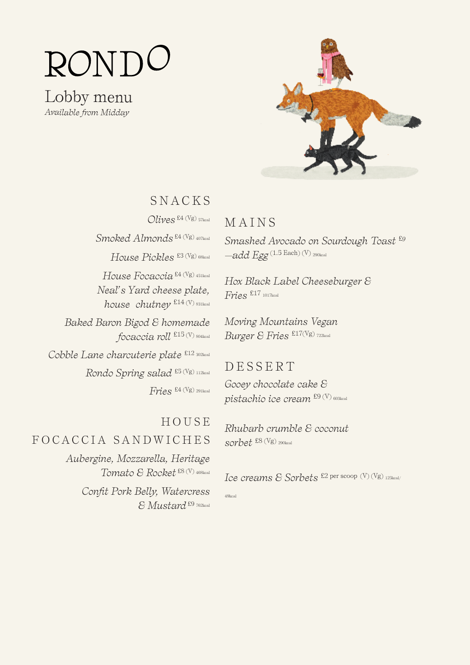# RONI

Lobby menu *Available from Midday*



## SNACKS

*Olives* £4 (Vg) 57kcal *Smoked Almonds* £4 (Vg) 407kcal *House Pickles* £3 (Vg) 68kcal *House Focaccia* £4 (Vg) 451kcal *Neal's Yard cheese plate, house chutney*  $E14$  (V) 831kcal *Baked Baron Bigod & homemade focaccia roll* £15 (V) 804kcal *Cobble Lane charcuterie plate* £12 302kcal *Rondo Spring salad* £5 (Vg) 112kcal *Fries* £4 (Vg) 291kcal

## HOUSE FOCACCIA SANDWICHES

*Aubergine, Mozzarella, Heritage Tomato & Rocket* £8 (V) 468kcal

> *Confit Pork Belly, Watercress & Mustard* £9 762kcal

#### MAINS

*Smashed Avocado on Sourdough Toast* £*<sup>9</sup> —add Egg* (1.5 Each) (V) 290kcal

*Hox Black Label Cheeseburger & Fries* £17 1017kcal

*Moving Mountains Vegan Burger & Fries* £17(Vg) 722kcal

#### DESSERT

*Gooey chocolate cake & pistachio ice cream* £9 (V) 603kcal

*Rhubarb crumble & coconut sorbet* £8 (Vg) 290kcal

*Ice creams & Sorbets* £2 per scoop (V) (Vg) 125kcal/

49kcal